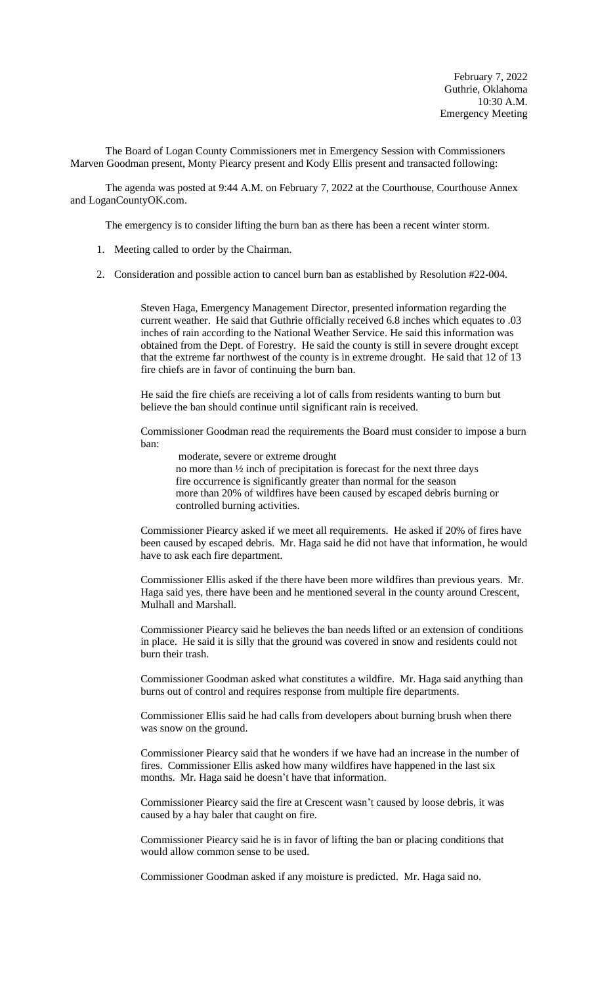The Board of Logan County Commissioners met in Emergency Session with Commissioners Marven Goodman present, Monty Piearcy present and Kody Ellis present and transacted following:

The agenda was posted at 9:44 A.M. on February 7, 2022 at the Courthouse, Courthouse Annex and LoganCountyOK.com.

The emergency is to consider lifting the burn ban as there has been a recent winter storm.

- 1. Meeting called to order by the Chairman.
- 2. Consideration and possible action to cancel burn ban as established by Resolution #22-004.

Steven Haga, Emergency Management Director, presented information regarding the current weather. He said that Guthrie officially received 6.8 inches which equates to .03 inches of rain according to the National Weather Service. He said this information was obtained from the Dept. of Forestry. He said the county is still in severe drought except that the extreme far northwest of the county is in extreme drought. He said that 12 of 13 fire chiefs are in favor of continuing the burn ban.

He said the fire chiefs are receiving a lot of calls from residents wanting to burn but believe the ban should continue until significant rain is received.

Commissioner Goodman read the requirements the Board must consider to impose a burn ban:

moderate, severe or extreme drought no more than ½ inch of precipitation is forecast for the next three days fire occurrence is significantly greater than normal for the season more than 20% of wildfires have been caused by escaped debris burning or controlled burning activities.

Commissioner Piearcy asked if we meet all requirements. He asked if 20% of fires have been caused by escaped debris. Mr. Haga said he did not have that information, he would have to ask each fire department.

Commissioner Ellis asked if the there have been more wildfires than previous years. Mr. Haga said yes, there have been and he mentioned several in the county around Crescent, Mulhall and Marshall.

Commissioner Piearcy said he believes the ban needs lifted or an extension of conditions in place. He said it is silly that the ground was covered in snow and residents could not burn their trash.

Commissioner Goodman asked what constitutes a wildfire. Mr. Haga said anything than burns out of control and requires response from multiple fire departments.

Commissioner Ellis said he had calls from developers about burning brush when there was snow on the ground.

Commissioner Piearcy said that he wonders if we have had an increase in the number of fires. Commissioner Ellis asked how many wildfires have happened in the last six months. Mr. Haga said he doesn't have that information.

Commissioner Piearcy said the fire at Crescent wasn't caused by loose debris, it was caused by a hay baler that caught on fire.

Commissioner Piearcy said he is in favor of lifting the ban or placing conditions that would allow common sense to be used.

Commissioner Goodman asked if any moisture is predicted. Mr. Haga said no.